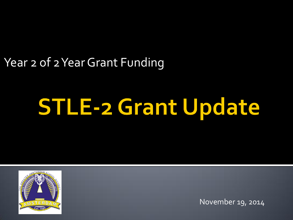### Year 2 of 2 Year Grant Funding

# **STLE-2 Grant Update**



November 19, 2014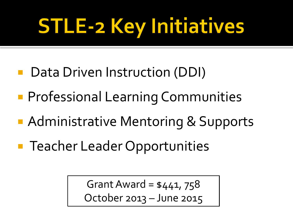# **STLE-2 Key Initiatives**

- Data Driven Instruction (DDI)
- **Professional Learning Communities**
- **Administrative Mentoring & Supports**
- **Teacher Leader Opportunities**

Grant Award =  $$441, 758$ October 2013 – June 2015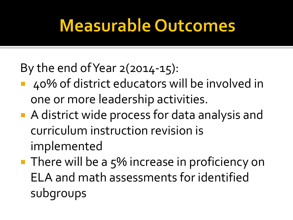## **Measurable Outcomes**

### By the end of Year  $2(2014-15)$ :

- 40% of district educators will be involved in one or more leadership activities.
- A district wide process for data analysis and curriculum instruction revision is implemented
- $\blacksquare$  There will be a 5% increase in proficiency on ELA and math assessments for identified subgroups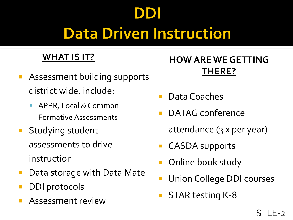## **Data Driven Instruction**

### **WHAT IS IT?**

- Assessment building supports district wide. include:
	- **-** APPR, Local & Common Formative Assessments
- **Studying student** assessments to drive instruction
- Data storage with Data Mate
- DDI protocols
- Assessment review

- Data Coaches
- DATAG conference
	- attendance (3 x per year)
- CASDA supports
- Online book study
- Union College DDI courses
- STAR testing K-8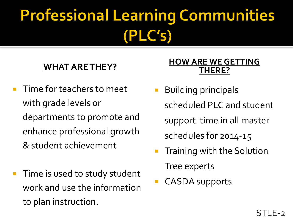# **Professional Learning Communities** (PLC's)

### **WHAT ARE THEY?**

- Time for teachers to meet with grade levels or departments to promote and enhance professional growth & student achievement
- Time is used to study student work and use the information to plan instruction.

- **Building principals** scheduled PLC and student support time in all master schedules for 2014-15
- **Training with the Solution** Tree experts
- CASDA supports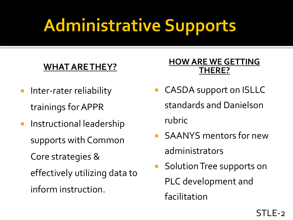# **Administrative Supports**

### **WHAT ARE THEY?**

- **Inter-rater reliability** trainings for APPR
- **Instructional leadership** supports with Common Core strategies & effectively utilizing data to inform instruction.

- **CASDA support on ISLLC** standards and Danielson rubric
- SAANYS mentors for new administrators
- **Solution Tree supports on** PLC development and facilitation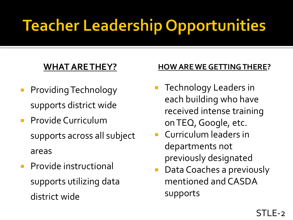# **Teacher Leadership Opportunities**

### **WHAT ARE THEY?**

- **Providing Technology** supports district wide
- **Provide Curriculum** supports across all subject areas
- **Provide instructional** supports utilizing data district wide

- Technology Leaders in each building who have received intense training on TEQ, Google, etc.
- Curriculum leaders in departments not previously designated
- Data Coaches a previously mentioned and CASDA supports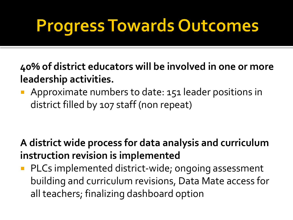# **Progress Towards Outcomes**

**40% of district educators will be involved in one or more leadership activities.**

**Approximate numbers to date: 151 leader positions in** district filled by 107 staff (non repeat)

**A district wide process for data analysis and curriculum instruction revision is implemented**

**PLCs implemented district-wide; ongoing assessment** building and curriculum revisions, Data Mate access for all teachers; finalizing dashboard option